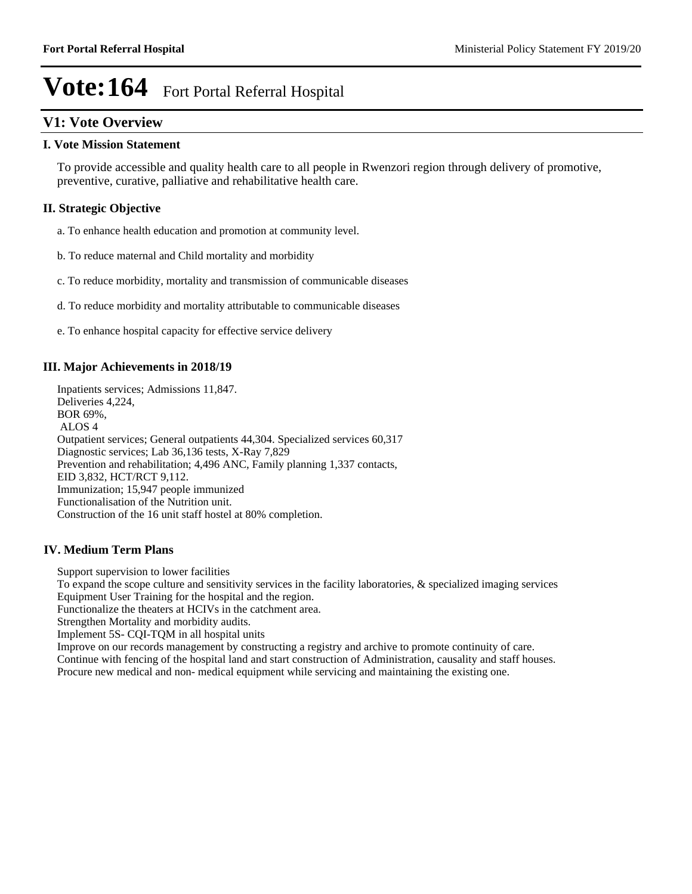# **V1: Vote Overview**

#### **I. Vote Mission Statement**

To provide accessible and quality health care to all people in Rwenzori region through delivery of promotive, preventive, curative, palliative and rehabilitative health care.

# **II. Strategic Objective**

a. To enhance health education and promotion at community level.

- b. To reduce maternal and Child mortality and morbidity
- c. To reduce morbidity, mortality and transmission of communicable diseases
- d. To reduce morbidity and mortality attributable to communicable diseases
- e. To enhance hospital capacity for effective service delivery

## **III. Major Achievements in 2018/19**

Inpatients services; Admissions 11,847. Deliveries 4,224, BOR 69%, ALOS 4 Outpatient services; General outpatients 44,304. Specialized services 60,317 Diagnostic services; Lab 36,136 tests, X-Ray 7,829 Prevention and rehabilitation; 4,496 ANC, Family planning 1,337 contacts, EID 3,832, HCT/RCT 9,112. Immunization; 15,947 people immunized Functionalisation of the Nutrition unit. Construction of the 16 unit staff hostel at 80% completion.

### **IV. Medium Term Plans**

Support supervision to lower facilities

To expand the scope culture and sensitivity services in the facility laboratories, & specialized imaging services Equipment User Training for the hospital and the region.

Functionalize the theaters at HCIVs in the catchment area.

Strengthen Mortality and morbidity audits.

Implement 5S- CQI-TQM in all hospital units

Improve on our records management by constructing a registry and archive to promote continuity of care. Continue with fencing of the hospital land and start construction of Administration, causality and staff houses. Procure new medical and non- medical equipment while servicing and maintaining the existing one.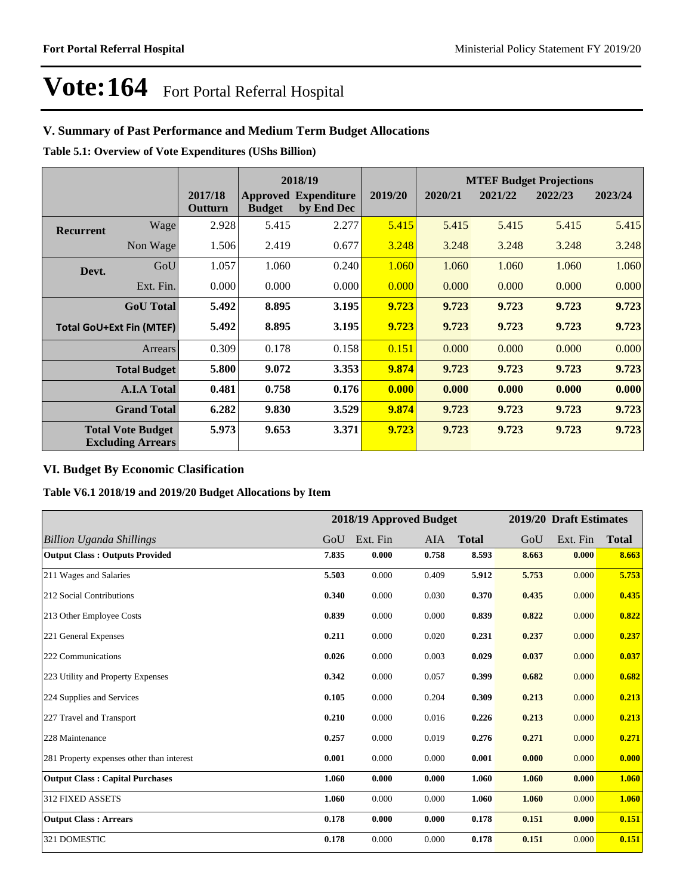# **V. Summary of Past Performance and Medium Term Budget Allocations**

**Table 5.1: Overview of Vote Expenditures (UShs Billion)**

|                  |                                                      |                    | 2018/19       |                                           |         |         |         | <b>MTEF Budget Projections</b> |         |
|------------------|------------------------------------------------------|--------------------|---------------|-------------------------------------------|---------|---------|---------|--------------------------------|---------|
|                  |                                                      | 2017/18<br>Outturn | <b>Budget</b> | <b>Approved Expenditure</b><br>by End Dec | 2019/20 | 2020/21 | 2021/22 | 2022/23                        | 2023/24 |
| <b>Recurrent</b> | Wage                                                 | 2.928              | 5.415         | 2.277                                     | 5.415   | 5.415   | 5.415   | 5.415                          | 5.415   |
|                  | Non Wage                                             | 1.506              | 2.419         | 0.677                                     | 3.248   | 3.248   | 3.248   | 3.248                          | 3.248   |
| Devt.            | GoU                                                  | 1.057              | 1.060         | 0.240                                     | 1.060   | 1.060   | 1.060   | 1.060                          | 1.060   |
|                  | Ext. Fin.                                            | 0.000              | 0.000         | 0.000                                     | 0.000   | 0.000   | 0.000   | 0.000                          | 0.000   |
|                  | <b>GoU</b> Total                                     | 5.492              | 8.895         | 3.195                                     | 9.723   | 9.723   | 9.723   | 9.723                          | 9.723   |
|                  | <b>Total GoU+Ext Fin (MTEF)</b>                      | 5.492              | 8.895         | 3.195                                     | 9.723   | 9.723   | 9.723   | 9.723                          | 9.723   |
|                  | Arrears                                              | 0.309              | 0.178         | 0.158                                     | 0.151   | 0.000   | 0.000   | 0.000                          | 0.000   |
|                  | <b>Total Budget</b>                                  | 5.800              | 9.072         | 3.353                                     | 9.874   | 9.723   | 9.723   | 9.723                          | 9.723   |
|                  | <b>A.I.A Total</b>                                   | 0.481              | 0.758         | 0.176                                     | 0.000   | 0.000   | 0.000   | 0.000                          | 0.000   |
|                  | <b>Grand Total</b>                                   | 6.282              | 9.830         | 3.529                                     | 9.874   | 9.723   | 9.723   | 9.723                          | 9.723   |
|                  | <b>Total Vote Budget</b><br><b>Excluding Arrears</b> | 5.973              | 9.653         | 3.371                                     | 9.723   | 9.723   | 9.723   | 9.723                          | 9.723   |

# **VI. Budget By Economic Clasification**

**Table V6.1 2018/19 and 2019/20 Budget Allocations by Item**

|                                           |       | 2018/19 Approved Budget |       |              |       | 2019/20 Draft Estimates |              |
|-------------------------------------------|-------|-------------------------|-------|--------------|-------|-------------------------|--------------|
| Billion Uganda Shillings                  | GoU   | Ext. Fin                | AIA   | <b>Total</b> | GoU   | Ext. Fin                | <b>Total</b> |
| <b>Output Class: Outputs Provided</b>     | 7.835 | 0.000                   | 0.758 | 8.593        | 8.663 | 0.000                   | 8.663        |
| 211 Wages and Salaries                    | 5.503 | 0.000                   | 0.409 | 5.912        | 5.753 | 0.000                   | 5.753        |
| 212 Social Contributions                  | 0.340 | 0.000                   | 0.030 | 0.370        | 0.435 | 0.000                   | 0.435        |
| 213 Other Employee Costs                  | 0.839 | 0.000                   | 0.000 | 0.839        | 0.822 | 0.000                   | 0.822        |
| 221 General Expenses                      | 0.211 | 0.000                   | 0.020 | 0.231        | 0.237 | 0.000                   | 0.237        |
| 222 Communications                        | 0.026 | 0.000                   | 0.003 | 0.029        | 0.037 | 0.000                   | 0.037        |
| 223 Utility and Property Expenses         | 0.342 | 0.000                   | 0.057 | 0.399        | 0.682 | 0.000                   | 0.682        |
| 224 Supplies and Services                 | 0.105 | 0.000                   | 0.204 | 0.309        | 0.213 | 0.000                   | 0.213        |
| 227 Travel and Transport                  | 0.210 | 0.000                   | 0.016 | 0.226        | 0.213 | 0.000                   | 0.213        |
| 228 Maintenance                           | 0.257 | 0.000                   | 0.019 | 0.276        | 0.271 | 0.000                   | 0.271        |
| 281 Property expenses other than interest | 0.001 | 0.000                   | 0.000 | 0.001        | 0.000 | 0.000                   | 0.000        |
| <b>Output Class: Capital Purchases</b>    | 1.060 | 0.000                   | 0.000 | 1.060        | 1.060 | 0.000                   | 1.060        |
| <b>312 FIXED ASSETS</b>                   | 1.060 | 0.000                   | 0.000 | 1.060        | 1.060 | 0.000                   | 1.060        |
| <b>Output Class: Arrears</b>              | 0.178 | 0.000                   | 0.000 | 0.178        | 0.151 | 0.000                   | 0.151        |
| 321 DOMESTIC                              | 0.178 | 0.000                   | 0.000 | 0.178        | 0.151 | 0.000                   | 0.151        |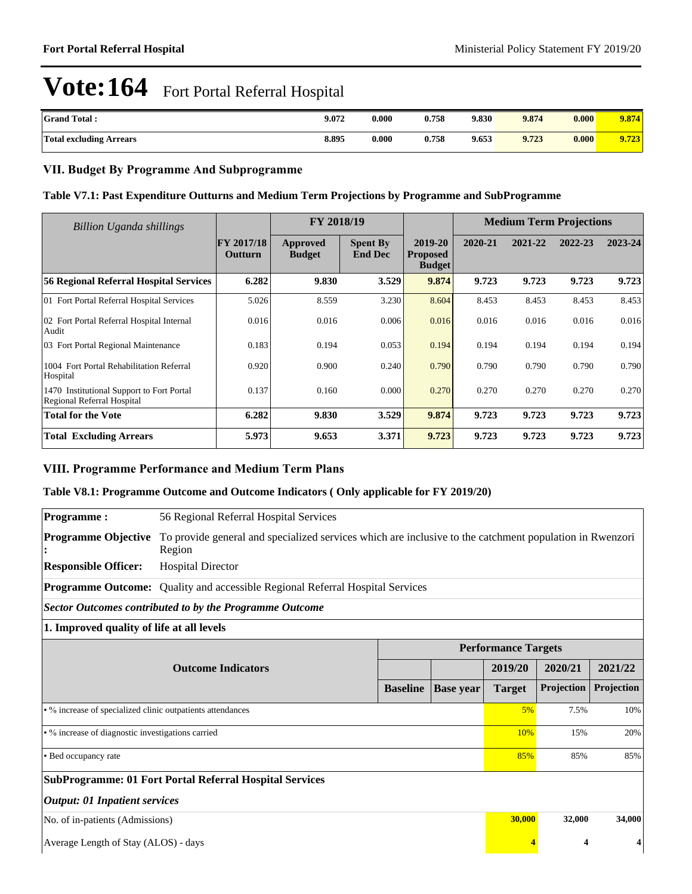| <b>Grand Total:</b>            | 9.072 | 0.000 | 0.758 | 9.830 | 9.874 | 0.000 | 9.874 |
|--------------------------------|-------|-------|-------|-------|-------|-------|-------|
| <b>Total excluding Arrears</b> | 8.895 | 0.000 | 0.758 | 9.653 | 9.723 | 0.000 | 9.723 |

# **VII. Budget By Programme And Subprogramme**

### **Table V7.1: Past Expenditure Outturns and Medium Term Projections by Programme and SubProgramme**

| Billion Uganda shillings                                                |                              | FY 2018/19                |                                   |                                             |         | <b>Medium Term Projections</b> |         |         |
|-------------------------------------------------------------------------|------------------------------|---------------------------|-----------------------------------|---------------------------------------------|---------|--------------------------------|---------|---------|
|                                                                         | <b>FY 2017/18</b><br>Outturn | Approved<br><b>Budget</b> | <b>Spent By</b><br><b>End Dec</b> | 2019-20<br><b>Proposed</b><br><b>Budget</b> | 2020-21 | 2021-22                        | 2022-23 | 2023-24 |
| <b>56 Regional Referral Hospital Services</b>                           | 6.282                        | 9.830                     | 3.529                             | 9.874                                       | 9.723   | 9.723                          | 9.723   | 9.723   |
| 01 Fort Portal Referral Hospital Services                               | 5.026                        | 8.559                     | 3.230                             | 8.604                                       | 8.453   | 8.453                          | 8.453   | 8.453   |
| 02 Fort Portal Referral Hospital Internal<br>Audit                      | 0.016                        | 0.016                     | 0.006                             | 0.016                                       | 0.016   | 0.016                          | 0.016   | 0.016   |
| 03 Fort Portal Regional Maintenance                                     | 0.183                        | 0.194                     | 0.053                             | 0.194                                       | 0.194   | 0.194                          | 0.194   | 0.194   |
| 1004 Fort Portal Rehabilitation Referral<br>Hospital                    | 0.920                        | 0.900                     | 0.240                             | 0.790                                       | 0.790   | 0.790                          | 0.790   | 0.790   |
| 1470 Institutional Support to Fort Portal<br>Regional Referral Hospital | 0.137                        | 0.160                     | 0.000                             | 0.270                                       | 0.270   | 0.270                          | 0.270   | 0.270   |
| <b>Total for the Vote</b>                                               | 6.282                        | 9.830                     | 3.529                             | 9.874                                       | 9.723   | 9.723                          | 9.723   | 9.723   |
| <b>Total Excluding Arrears</b>                                          | 5.973                        | 9.653                     | 3.371                             | 9.723                                       | 9.723   | 9.723                          | 9.723   | 9.723   |

### **VIII. Programme Performance and Medium Term Plans**

### **Table V8.1: Programme Outcome and Outcome Indicators ( Only applicable for FY 2019/20)**

| <b>Programme:</b>                                          | 56 Regional Referral Hospital Services                                                                            |                 |                  |                            |            |            |  |  |
|------------------------------------------------------------|-------------------------------------------------------------------------------------------------------------------|-----------------|------------------|----------------------------|------------|------------|--|--|
| <b>Programme Objective</b>                                 | To provide general and specialized services which are inclusive to the catchment population in Rwenzori<br>Region |                 |                  |                            |            |            |  |  |
| <b>Responsible Officer:</b>                                | <b>Hospital Director</b>                                                                                          |                 |                  |                            |            |            |  |  |
|                                                            | <b>Programme Outcome:</b> Quality and accessible Regional Referral Hospital Services                              |                 |                  |                            |            |            |  |  |
|                                                            | <b>Sector Outcomes contributed to by the Programme Outcome</b>                                                    |                 |                  |                            |            |            |  |  |
| 1. Improved quality of life at all levels                  |                                                                                                                   |                 |                  |                            |            |            |  |  |
|                                                            |                                                                                                                   |                 |                  | <b>Performance Targets</b> |            |            |  |  |
| <b>Outcome Indicators</b>                                  |                                                                                                                   |                 |                  | 2019/20                    | 2020/21    | 2021/22    |  |  |
|                                                            |                                                                                                                   | <b>Baseline</b> | <b>Base year</b> | <b>Target</b>              | Projection | Projection |  |  |
| • % increase of specialized clinic outpatients attendances |                                                                                                                   |                 |                  | 5%                         | 7.5%       | 10%        |  |  |
| · % increase of diagnostic investigations carried          |                                                                                                                   |                 |                  |                            | 15%        | 20%        |  |  |
| • Bed occupancy rate                                       |                                                                                                                   |                 |                  |                            | 85%        | 85%        |  |  |
|                                                            | <b>SubProgramme: 01 Fort Portal Referral Hospital Services</b>                                                    |                 |                  |                            |            |            |  |  |
| <b>Output: 01 Inpatient services</b>                       |                                                                                                                   |                 |                  |                            |            |            |  |  |
| No. of in-patients (Admissions)                            |                                                                                                                   |                 |                  | 30,000                     | 32,000     | 34,000     |  |  |
| Average Length of Stay (ALOS) - days                       |                                                                                                                   |                 |                  |                            | 4          |            |  |  |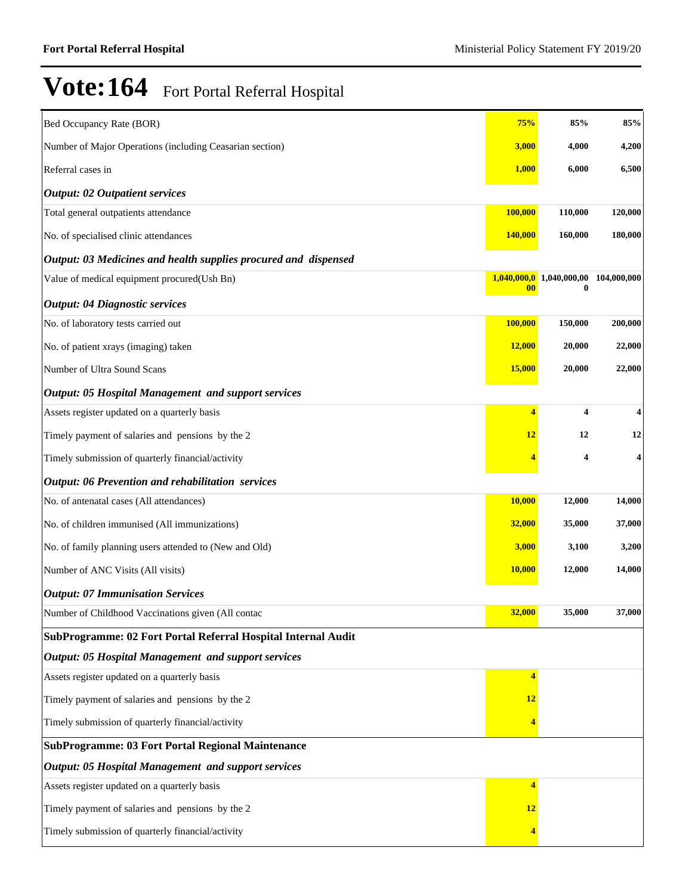| Bed Occupancy Rate (BOR)                                        | 75%                      | 85%               | 85%         |
|-----------------------------------------------------------------|--------------------------|-------------------|-------------|
| Number of Major Operations (including Ceasarian section)        | 3,000                    | 4,000             | 4,200       |
| Referral cases in                                               | 1,000                    | 6,000             | 6,500       |
| <b>Output: 02 Outpatient services</b>                           |                          |                   |             |
| Total general outpatients attendance                            | 100,000                  | 110,000           | 120,000     |
| No. of specialised clinic attendances                           | <b>140,000</b>           | 160,000           | 180,000     |
| Output: 03 Medicines and health supplies procured and dispensed |                          |                   |             |
| Value of medical equipment procured(Ush Bn)                     | 1,040,000,0<br>$\bf{00}$ | 1,040,000,00<br>0 | 104,000,000 |
| <b>Output: 04 Diagnostic services</b>                           |                          |                   |             |
| No. of laboratory tests carried out                             | 100,000                  | 150,000           | 200,000     |
| No. of patient xrays (imaging) taken                            | <b>12,000</b>            | 20,000            | 22,000      |
| Number of Ultra Sound Scans                                     | 15,000                   | 20,000            | 22,000      |
| <b>Output: 05 Hospital Management and support services</b>      |                          |                   |             |
| Assets register updated on a quarterly basis                    | $\overline{\mathbf{4}}$  | 4                 | 4           |
| Timely payment of salaries and pensions by the 2                | 12                       | 12                | 12          |
| Timely submission of quarterly financial/activity               |                          | 4                 | 4           |
| <b>Output: 06 Prevention and rehabilitation services</b>        |                          |                   |             |
| No. of antenatal cases (All attendances)                        | 10,000                   | 12,000            | 14,000      |
| No. of children immunised (All immunizations)                   | 32,000                   | 35,000            | 37,000      |
| No. of family planning users attended to (New and Old)          | 3,000                    | 3,100             | 3,200       |
| Number of ANC Visits (All visits)                               | <b>10,000</b>            | 12,000            | 14,000      |
| <b>Output: 07 Immunisation Services</b>                         |                          |                   |             |
| Number of Childhood Vaccinations given (All contac              | 32,000                   | 35,000            | 37,000      |
| SubProgramme: 02 Fort Portal Referral Hospital Internal Audit   |                          |                   |             |
| <b>Output: 05 Hospital Management and support services</b>      |                          |                   |             |
| Assets register updated on a quarterly basis                    | $\overline{\mathbf{4}}$  |                   |             |
| Timely payment of salaries and pensions by the 2                | 12                       |                   |             |
| Timely submission of quarterly financial/activity               | 4                        |                   |             |
| <b>SubProgramme: 03 Fort Portal Regional Maintenance</b>        |                          |                   |             |
| <b>Output: 05 Hospital Management and support services</b>      |                          |                   |             |
| Assets register updated on a quarterly basis                    | 4                        |                   |             |
| Timely payment of salaries and pensions by the 2                | <b>12</b>                |                   |             |
| Timely submission of quarterly financial/activity               |                          |                   |             |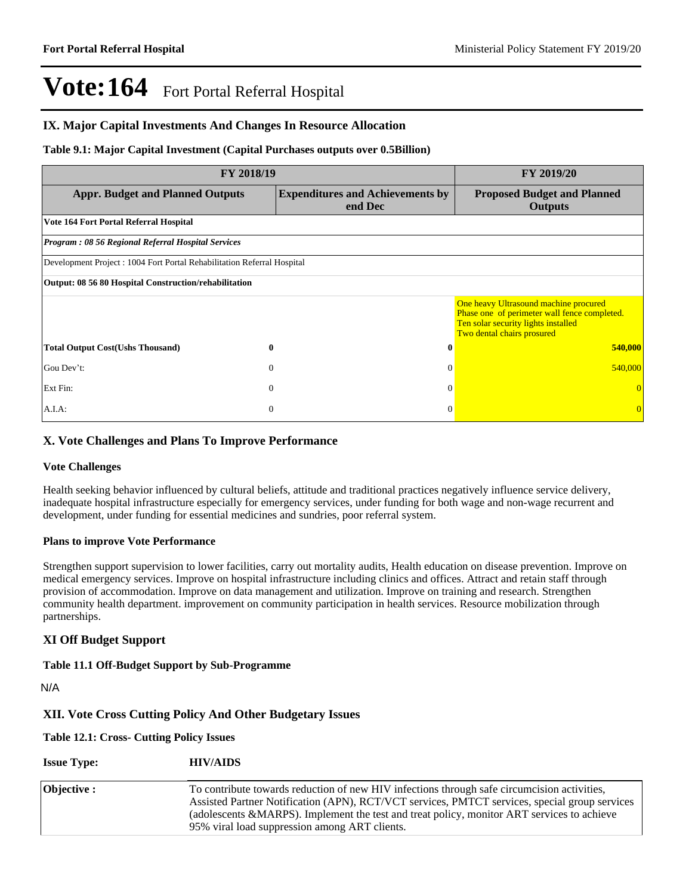### **IX. Major Capital Investments And Changes In Resource Allocation**

#### **Table 9.1: Major Capital Investment (Capital Purchases outputs over 0.5Billion)**

| <b>FY 2018/19</b>                                                       | <b>FY 2019/20</b>                                  |                                                                                                                                                            |  |  |  |  |
|-------------------------------------------------------------------------|----------------------------------------------------|------------------------------------------------------------------------------------------------------------------------------------------------------------|--|--|--|--|
| <b>Appr. Budget and Planned Outputs</b>                                 | <b>Expenditures and Achievements by</b><br>end Dec | <b>Proposed Budget and Planned</b><br><b>Outputs</b>                                                                                                       |  |  |  |  |
| Vote 164 Fort Portal Referral Hospital                                  |                                                    |                                                                                                                                                            |  |  |  |  |
| <b>Program: 08 56 Regional Referral Hospital Services</b>               |                                                    |                                                                                                                                                            |  |  |  |  |
| Development Project : 1004 Fort Portal Rehabilitation Referral Hospital |                                                    |                                                                                                                                                            |  |  |  |  |
| Output: 08 56 80 Hospital Construction/rehabilitation                   |                                                    |                                                                                                                                                            |  |  |  |  |
|                                                                         |                                                    | One heavy Ultrasound machine procured<br>Phase one of perimeter wall fence completed.<br>Ten solar security lights installed<br>Two dental chairs prosured |  |  |  |  |
| <b>Total Output Cost(Ushs Thousand)</b><br>$\bf{0}$                     | 0                                                  | 540,000                                                                                                                                                    |  |  |  |  |
| Gou Dev't:<br>$\theta$                                                  | $\Omega$                                           | 540,000                                                                                                                                                    |  |  |  |  |
| Ext Fin:<br>$\mathbf{0}$                                                | $\Omega$                                           |                                                                                                                                                            |  |  |  |  |
| A.I.A.<br>$\mathbf{0}$                                                  | $\Omega$                                           | $\Omega$                                                                                                                                                   |  |  |  |  |

## **X. Vote Challenges and Plans To Improve Performance**

#### **Vote Challenges**

Health seeking behavior influenced by cultural beliefs, attitude and traditional practices negatively influence service delivery, inadequate hospital infrastructure especially for emergency services, under funding for both wage and non-wage recurrent and development, under funding for essential medicines and sundries, poor referral system.

#### **Plans to improve Vote Performance**

Strengthen support supervision to lower facilities, carry out mortality audits, Health education on disease prevention. Improve on medical emergency services. Improve on hospital infrastructure including clinics and offices. Attract and retain staff through provision of accommodation. Improve on data management and utilization. Improve on training and research. Strengthen community health department. improvement on community participation in health services. Resource mobilization through partnerships.

### **XI Off Budget Support**

#### **Table 11.1 Off-Budget Support by Sub-Programme**

N/A

### **XII. Vote Cross Cutting Policy And Other Budgetary Issues**

#### **Table 12.1: Cross- Cutting Policy Issues**

| <b>Issue Type:</b> | <b>HIV/AIDS</b> |
|--------------------|-----------------|
|--------------------|-----------------|

| <b>Objective :</b> | To contribute towards reduction of new HIV infections through safe circumcision activities,<br>Assisted Partner Notification (APN), RCT/VCT services, PMTCT services, special group services |
|--------------------|----------------------------------------------------------------------------------------------------------------------------------------------------------------------------------------------|
|                    | (adolescents &MARPS). Implement the test and treat policy, monitor ART services to achieve<br>95% viral load suppression among ART clients.                                                  |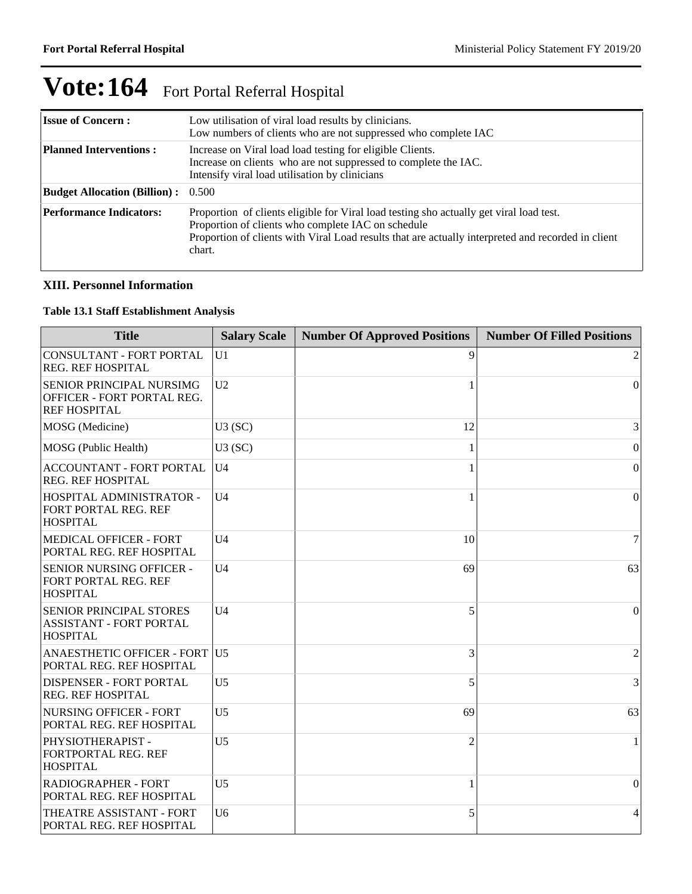| <b>Issue of Concern:</b>                  | Low utilisation of viral load results by clinicians.<br>Low numbers of clients who are not suppressed who complete IAC                                                                                                                                        |
|-------------------------------------------|---------------------------------------------------------------------------------------------------------------------------------------------------------------------------------------------------------------------------------------------------------------|
| <b>Planned Interventions:</b>             | Increase on Viral load load testing for eligible Clients.<br>Increase on clients who are not suppressed to complete the IAC.<br>Intensify viral load utilisation by clinicians                                                                                |
| <b>Budget Allocation (Billion):</b> 0.500 |                                                                                                                                                                                                                                                               |
| <b>Performance Indicators:</b>            | Proportion of clients eligible for Viral load testing sho actually get viral load test.<br>Proportion of clients who complete IAC on schedule<br>Proportion of clients with Viral Load results that are actually interpreted and recorded in client<br>chart. |

# **XIII. Personnel Information**

#### **Table 13.1 Staff Establishment Analysis**

| <b>Title</b>                                                                        | <b>Salary Scale</b> | <b>Number Of Approved Positions</b> | <b>Number Of Filled Positions</b> |
|-------------------------------------------------------------------------------------|---------------------|-------------------------------------|-----------------------------------|
| <b>CONSULTANT - FORT PORTAL</b><br><b>REG. REF HOSPITAL</b>                         | U1                  | 9                                   | 2                                 |
| SENIOR PRINCIPAL NURSIMG<br>OFFICER - FORT PORTAL REG.<br><b>REF HOSPITAL</b>       | U <sub>2</sub>      |                                     | $\overline{0}$                    |
| MOSG (Medicine)                                                                     | U3(SC)              | 12                                  | 3                                 |
| MOSG (Public Health)                                                                | U3(SC)              |                                     | $\boldsymbol{0}$                  |
| <b>ACCOUNTANT - FORT PORTAL</b><br><b>REG. REF HOSPITAL</b>                         | U <sub>4</sub>      |                                     | $\boldsymbol{0}$                  |
| HOSPITAL ADMINISTRATOR -<br>FORT PORTAL REG. REF<br><b>HOSPITAL</b>                 | U <sub>4</sub>      |                                     | $\Omega$                          |
| <b>MEDICAL OFFICER - FORT</b><br>PORTAL REG. REF HOSPITAL                           | U <sub>4</sub>      | 10                                  | 7                                 |
| SENIOR NURSING OFFICER -<br>FORT PORTAL REG. REF<br><b>HOSPITAL</b>                 | U <sub>4</sub>      | 69                                  | 63                                |
| <b>SENIOR PRINCIPAL STORES</b><br><b>ASSISTANT - FORT PORTAL</b><br><b>HOSPITAL</b> | U <sub>4</sub>      | 5                                   | 0                                 |
| ANAESTHETIC OFFICER - FORT U5<br>PORTAL REG. REF HOSPITAL                           |                     | 3                                   | 2                                 |
| <b>DISPENSER - FORT PORTAL</b><br><b>REG. REF HOSPITAL</b>                          | U <sub>5</sub>      | 5                                   | 3                                 |
| <b>NURSING OFFICER - FORT</b><br>PORTAL REG. REF HOSPITAL                           | U <sub>5</sub>      | 69                                  | 63                                |
| PHYSIOTHERAPIST -<br>FORTPORTAL REG. REF<br><b>HOSPITAL</b>                         | U <sub>5</sub>      | $\overline{c}$                      |                                   |
| <b>RADIOGRAPHER - FORT</b><br>PORTAL REG. REF HOSPITAL                              | U <sub>5</sub>      | 1                                   | $\mathbf{0}$                      |
| THEATRE ASSISTANT - FORT<br>PORTAL REG. REF HOSPITAL                                | U <sub>6</sub>      | 5                                   | 4                                 |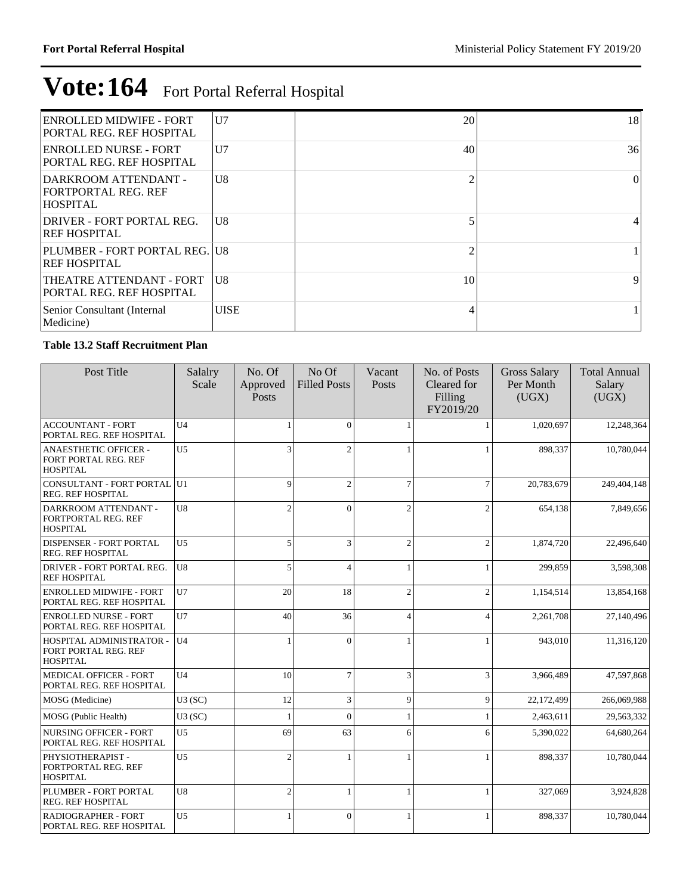| <b>ENROLLED MIDWIFE - FORT</b><br><b>PORTAL REG. REF HOSPITAL</b>     | U7             | 20 | 18       |
|-----------------------------------------------------------------------|----------------|----|----------|
| <b>ENROLLED NURSE - FORT</b><br>PORTAL REG. REF HOSPITAL              | U <sub>7</sub> | 40 | 36       |
| DARKROOM ATTENDANT -<br><b>FORTPORTAL REG. REF</b><br><b>HOSPITAL</b> | U <sub>8</sub> |    | $\Omega$ |
| DRIVER - FORT PORTAL REG.<br><b>REF HOSPITAL</b>                      | U8             |    |          |
| PLUMBER - FORT PORTAL REG. IU8<br><b>REF HOSPITAL</b>                 |                |    |          |
| <b>THEATRE ATTENDANT - FORT</b><br><b>PORTAL REG. REF HOSPITAL</b>    | U8             | 10 | 9        |
| Senior Consultant (Internal<br>Medicine)                              | <b>UISE</b>    |    |          |

### **Table 13.2 Staff Recruitment Plan**

| Post Title                                                              | Salalry<br>Scale | No. Of<br>Approved<br>Posts | No Of<br><b>Filled Posts</b> | Vacant<br>Posts | No. of Posts<br>Cleared for<br>Filling<br>FY2019/20 | <b>Gross Salary</b><br>Per Month<br>(UGX) | <b>Total Annual</b><br>Salary<br>(UGX) |
|-------------------------------------------------------------------------|------------------|-----------------------------|------------------------------|-----------------|-----------------------------------------------------|-------------------------------------------|----------------------------------------|
| <b>ACCOUNTANT - FORT</b><br>PORTAL REG. REF HOSPITAL                    | U <sub>4</sub>   | 1                           | $\Omega$                     |                 |                                                     | 1.020.697                                 | 12,248,364                             |
| <b>ANAESTHETIC OFFICER -</b><br>FORT PORTAL REG. REF<br><b>HOSPITAL</b> | U <sub>5</sub>   | 3                           | $\overline{c}$               |                 | $\mathbf{1}$                                        | 898,337                                   | 10.780.044                             |
| <b>CONSULTANT - FORT PORTAL</b><br>REG. REF HOSPITAL                    | U1               | $\overline{9}$              | $\overline{c}$               | $\overline{7}$  | 7                                                   | 20,783,679                                | 249,404,148                            |
| DARKROOM ATTENDANT -<br>FORTPORTAL REG. REF<br><b>HOSPITAL</b>          | U <sub>8</sub>   | $\overline{c}$              | $\Omega$                     | $\mathfrak{I}$  | $\mathcal{L}$                                       | 654,138                                   | 7,849,656                              |
| DISPENSER - FORT PORTAL<br>REG. REF HOSPITAL                            | U5               | 5                           | 3                            | $\overline{c}$  | $\overline{c}$                                      | 1,874,720                                 | 22,496,640                             |
| DRIVER - FORT PORTAL REG.<br><b>REF HOSPITAL</b>                        | U8               | 5                           | 4                            |                 |                                                     | 299,859                                   | 3,598,308                              |
| <b>ENROLLED MIDWIFE - FORT</b><br>PORTAL REG. REF HOSPITAL              | U7               | 20                          | 18                           | $\overline{c}$  | $\mathfrak{D}$                                      | 1,154,514                                 | 13,854,168                             |
| <b>ENROLLED NURSE - FORT</b><br>PORTAL REG. REF HOSPITAL                | U7               | 40                          | 36                           | $\overline{4}$  | 4                                                   | 2,261,708                                 | 27,140,496                             |
| HOSPITAL ADMINISTRATOR -<br>FORT PORTAL REG. REF<br><b>HOSPITAL</b>     | U <sub>4</sub>   | 1                           | $\Omega$                     |                 |                                                     | 943,010                                   | 11,316,120                             |
| <b>MEDICAL OFFICER - FORT</b><br>PORTAL REG. REF HOSPITAL               | U <sub>4</sub>   | 10                          | 7                            | 3               | 3                                                   | 3,966,489                                 | 47,597,868                             |
| MOSG (Medicine)                                                         | U3(SC)           | 12                          | 3                            | 9               | $\mathbf Q$                                         | 22,172,499                                | 266,069,988                            |
| MOSG (Public Health)                                                    | U3(SC)           | $\mathbf{1}$                | $\theta$                     |                 |                                                     | 2,463,611                                 | 29,563,332                             |
| <b>NURSING OFFICER - FORT</b><br>PORTAL REG. REF HOSPITAL               | U <sub>5</sub>   | 69                          | 63                           | 6               | 6                                                   | 5.390.022                                 | 64,680,264                             |
| PHYSIOTHERAPIST -<br>FORTPORTAL REG. REF<br><b>HOSPITAL</b>             | U <sub>5</sub>   | $\overline{2}$              |                              |                 |                                                     | 898,337                                   | 10,780,044                             |
| PLUMBER - FORT PORTAL<br>REG. REF HOSPITAL                              | U8               | $\overline{c}$              | 1                            |                 | $\mathbf{1}$                                        | 327,069                                   | 3,924,828                              |
| <b>RADIOGRAPHER - FORT</b><br>PORTAL REG. REF HOSPITAL                  | U <sub>5</sub>   | 1                           | $\Omega$                     | $\mathbf{1}$    | 1                                                   | 898,337                                   | 10,780,044                             |